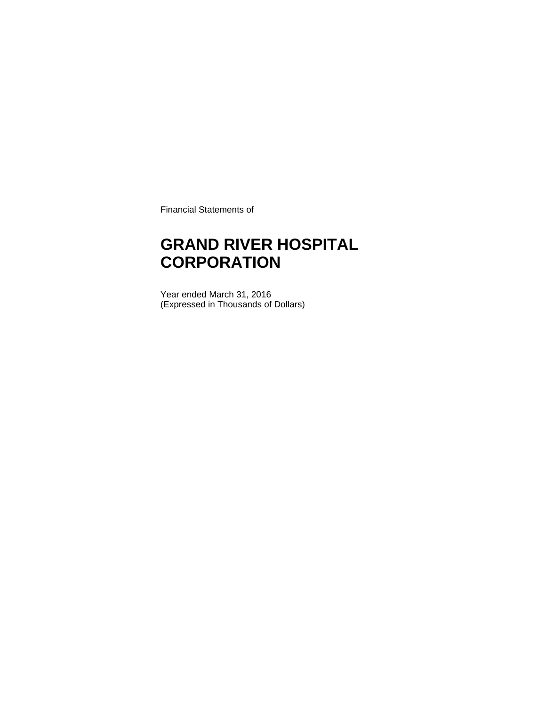Financial Statements of

### **GRAND RIVER HOSPITAL CORPORATION**

Year ended March 31, 2016 (Expressed in Thousands of Dollars)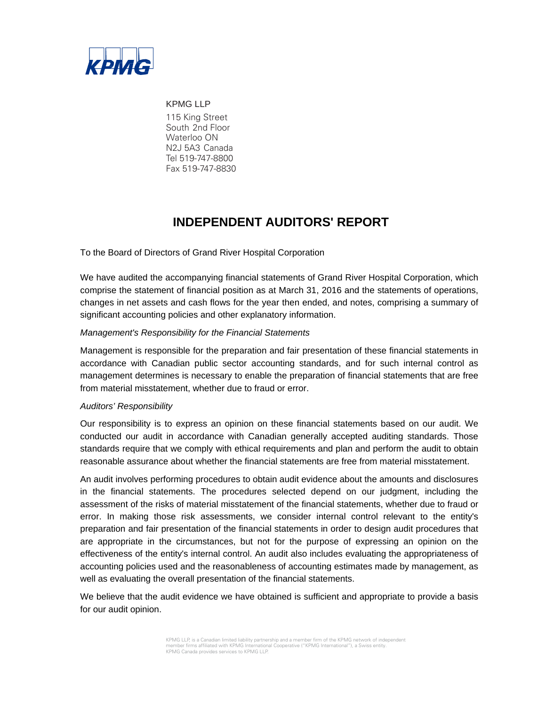

KPMG LLP 115 King Street South 2nd Floor Waterloo ON N2J 5A3 Canada Tel 519-747-8800 Fax 519-747-8830

### **INDEPENDENT AUDITORS' REPORT**

To the Board of Directors of Grand River Hospital Corporation

We have audited the accompanying financial statements of Grand River Hospital Corporation, which comprise the statement of financial position as at March 31, 2016 and the statements of operations, changes in net assets and cash flows for the year then ended, and notes, comprising a summary of significant accounting policies and other explanatory information.

#### *Management's Responsibility for the Financial Statements*

Management is responsible for the preparation and fair presentation of these financial statements in accordance with Canadian public sector accounting standards, and for such internal control as management determines is necessary to enable the preparation of financial statements that are free from material misstatement, whether due to fraud or error.

#### *Auditors' Responsibility*

Our responsibility is to express an opinion on these financial statements based on our audit. We conducted our audit in accordance with Canadian generally accepted auditing standards. Those standards require that we comply with ethical requirements and plan and perform the audit to obtain reasonable assurance about whether the financial statements are free from material misstatement.

An audit involves performing procedures to obtain audit evidence about the amounts and disclosures in the financial statements. The procedures selected depend on our judgment, including the assessment of the risks of material misstatement of the financial statements, whether due to fraud or error. In making those risk assessments, we consider internal control relevant to the entity's preparation and fair presentation of the financial statements in order to design audit procedures that are appropriate in the circumstances, but not for the purpose of expressing an opinion on the effectiveness of the entity's internal control. An audit also includes evaluating the appropriateness of accounting policies used and the reasonableness of accounting estimates made by management, as well as evaluating the overall presentation of the financial statements.

We believe that the audit evidence we have obtained is sufficient and appropriate to provide a basis for our audit opinion.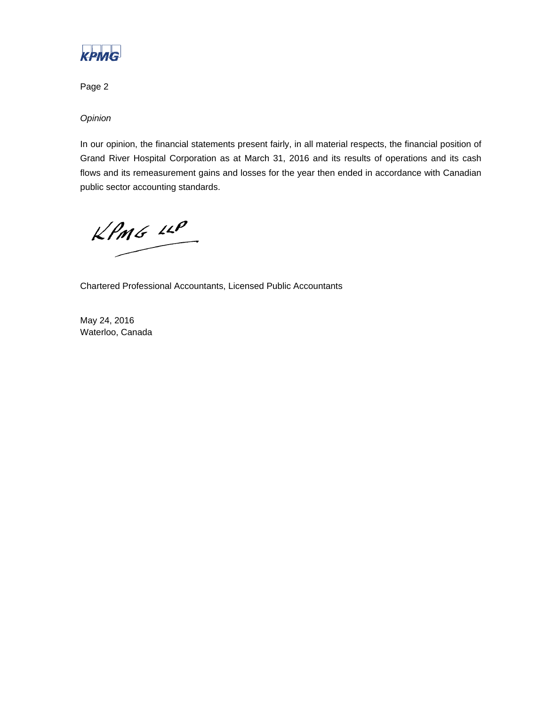

Page 2

*Opinion* 

In our opinion, the financial statements present fairly, in all material respects, the financial position of Grand River Hospital Corporation as at March 31, 2016 and its results of operations and its cash flows and its remeasurement gains and losses for the year then ended in accordance with Canadian public sector accounting standards.

 $KPMG$  11P

Chartered Professional Accountants, Licensed Public Accountants

May 24, 2016 Waterloo, Canada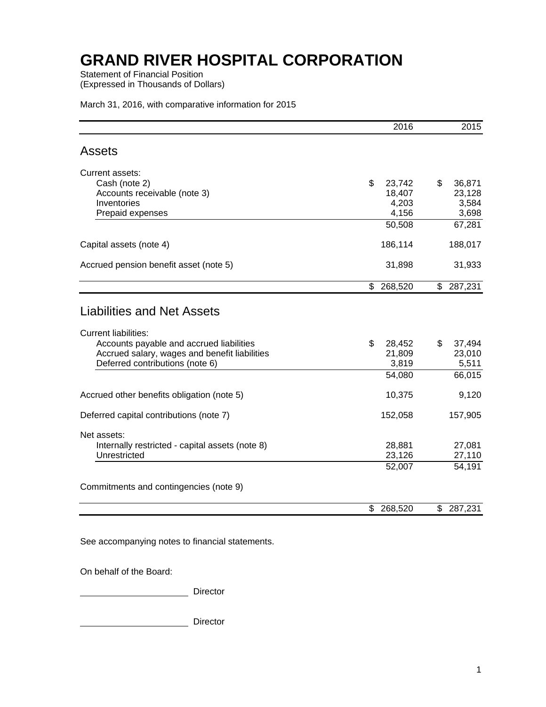Statement of Financial Position (Expressed in Thousands of Dollars)

|  |  | March 31, 2016, with comparative information for 2015 |
|--|--|-------------------------------------------------------|
|--|--|-------------------------------------------------------|

|                                                                                                                                                                                                  | 2016                            | 2015                            |
|--------------------------------------------------------------------------------------------------------------------------------------------------------------------------------------------------|---------------------------------|---------------------------------|
| <b>Assets</b>                                                                                                                                                                                    |                                 |                                 |
| <b>Current assets:</b>                                                                                                                                                                           |                                 |                                 |
| Cash (note 2)                                                                                                                                                                                    | \$<br>23,742                    | \$<br>36,871                    |
| Accounts receivable (note 3)                                                                                                                                                                     | 18,407                          | 23,128                          |
| Inventories                                                                                                                                                                                      | 4,203                           | 3,584                           |
| Prepaid expenses                                                                                                                                                                                 | 4,156                           | 3,698                           |
|                                                                                                                                                                                                  | 50,508                          | 67,281                          |
| Capital assets (note 4)                                                                                                                                                                          | 186,114                         | 188,017                         |
| Accrued pension benefit asset (note 5)                                                                                                                                                           | 31,898                          | 31,933                          |
|                                                                                                                                                                                                  | \$<br>268,520                   | \$<br>287,231                   |
| <b>Liabilities and Net Assets</b><br><b>Current liabilities:</b><br>Accounts payable and accrued liabilities<br>Accrued salary, wages and benefit liabilities<br>Deferred contributions (note 6) | \$<br>28,452<br>21,809<br>3,819 | \$<br>37,494<br>23,010<br>5,511 |
|                                                                                                                                                                                                  | 54,080                          | 66,015                          |
| Accrued other benefits obligation (note 5)                                                                                                                                                       | 10,375                          | 9,120                           |
| Deferred capital contributions (note 7)                                                                                                                                                          | 152,058                         | 157,905                         |
| Net assets:                                                                                                                                                                                      |                                 |                                 |
| Internally restricted - capital assets (note 8)                                                                                                                                                  | 28,881                          | 27,081                          |
| Unrestricted                                                                                                                                                                                     | 23,126                          | 27,110                          |
|                                                                                                                                                                                                  | 52,007                          | 54,191                          |
| Commitments and contingencies (note 9)                                                                                                                                                           |                                 |                                 |
|                                                                                                                                                                                                  | \$<br>268,520                   | \$<br>287,231                   |

See accompanying notes to financial statements.

On behalf of the Board:

Director

Director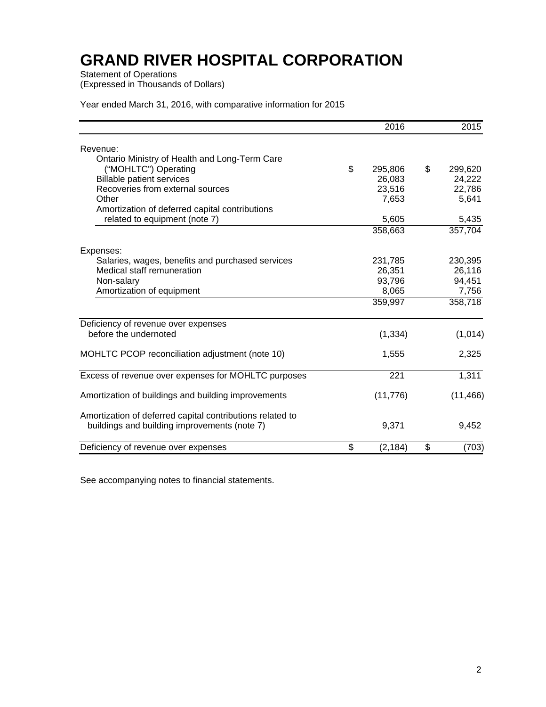Statement of Operations

(Expressed in Thousands of Dollars)

| Year ended March 31, 2016, with comparative information for 2015 |  |  |  |
|------------------------------------------------------------------|--|--|--|
|------------------------------------------------------------------|--|--|--|

|                                                           | 2016           | 2015          |
|-----------------------------------------------------------|----------------|---------------|
| Revenue:                                                  |                |               |
| Ontario Ministry of Health and Long-Term Care             |                |               |
| ("MOHLTC") Operating                                      | \$<br>295,806  | \$<br>299,620 |
| <b>Billable patient services</b>                          | 26,083         | 24,222        |
| Recoveries from external sources                          | 23,516         | 22,786        |
| Other                                                     | 7,653          | 5,641         |
| Amortization of deferred capital contributions            |                |               |
| related to equipment (note 7)                             | 5,605          | 5,435         |
|                                                           | 358,663        | 357,704       |
| Expenses:                                                 |                |               |
| Salaries, wages, benefits and purchased services          | 231,785        | 230,395       |
| Medical staff remuneration                                | 26,351         | 26,116        |
| Non-salary                                                | 93,796         | 94,451        |
| Amortization of equipment                                 | 8,065          | 7,756         |
|                                                           | 359,997        | 358,718       |
| Deficiency of revenue over expenses                       |                |               |
| before the undernoted                                     | (1, 334)       | (1,014)       |
| MOHLTC PCOP reconciliation adjustment (note 10)           | 1,555          | 2,325         |
| Excess of revenue over expenses for MOHLTC purposes       | 221            | 1,311         |
|                                                           |                |               |
| Amortization of buildings and building improvements       | (11, 776)      | (11, 466)     |
| Amortization of deferred capital contributions related to |                |               |
| buildings and building improvements (note 7)              | 9,371          | 9,452         |
| Deficiency of revenue over expenses                       | \$<br>(2, 184) | \$<br>(703)   |

See accompanying notes to financial statements.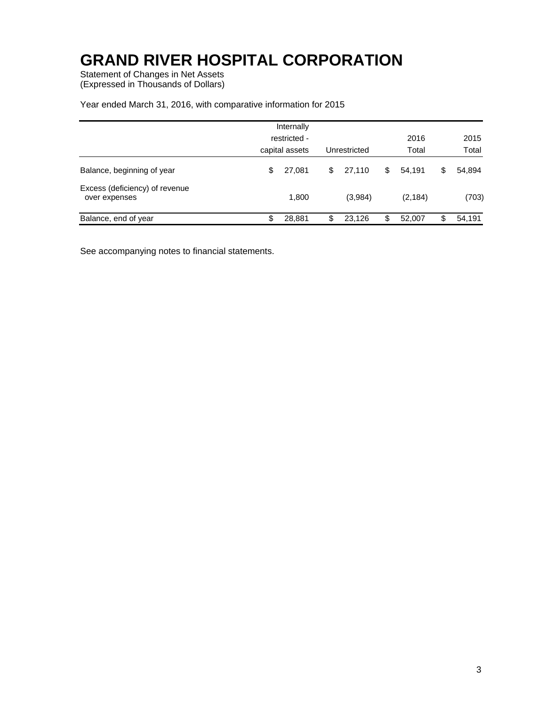Statement of Changes in Net Assets (Expressed in Thousands of Dollars)

#### Year ended March 31, 2016, with comparative information for 2015

|                                                 | Internally<br>restricted -<br>capital assets | Unrestricted | 2016<br>Total | 2015<br>Total |
|-------------------------------------------------|----------------------------------------------|--------------|---------------|---------------|
| Balance, beginning of year                      | \$<br>27.081                                 | \$<br>27.110 | \$<br>54.191  | \$<br>54,894  |
| Excess (deficiency) of revenue<br>over expenses | 1,800                                        | (3,984)      | (2, 184)      | (703)         |
| Balance, end of year                            | \$<br>28,881                                 | \$<br>23.126 | \$<br>52.007  | \$<br>54,191  |

See accompanying notes to financial statements.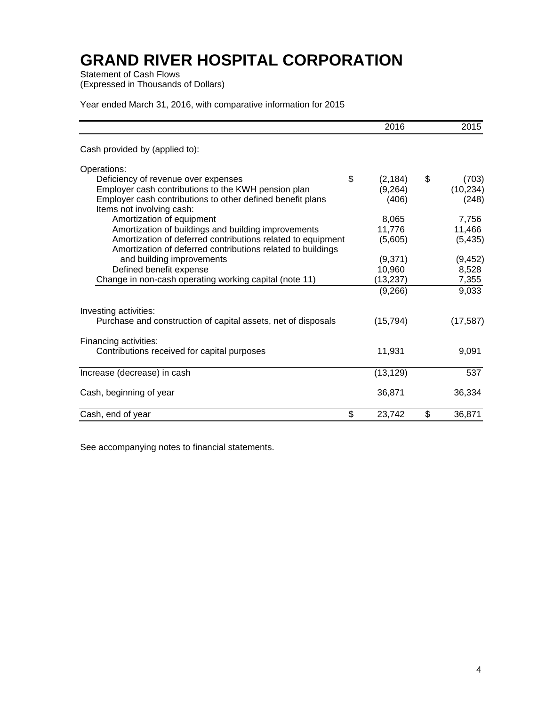Statement of Cash Flows (Expressed in Thousands of Dollars)

Year ended March 31, 2016, with comparative information for 2015

|                                                                                         | 2016           | 2015         |
|-----------------------------------------------------------------------------------------|----------------|--------------|
| Cash provided by (applied to):                                                          |                |              |
| Operations:                                                                             |                |              |
| Deficiency of revenue over expenses                                                     | \$<br>(2, 184) | \$<br>(703)  |
| Employer cash contributions to the KWH pension plan                                     | (9,264)        | (10, 234)    |
| Employer cash contributions to other defined benefit plans<br>Items not involving cash: | (406)          | (248)        |
| Amortization of equipment                                                               | 8,065          | 7,756        |
| Amortization of buildings and building improvements                                     | 11,776         | 11,466       |
| Amortization of deferred contributions related to equipment                             | (5,605)        | (5, 435)     |
| Amortization of deferred contributions related to buildings                             |                |              |
| and building improvements                                                               | (9,371)        | (9, 452)     |
| Defined benefit expense                                                                 | 10,960         | 8,528        |
| Change in non-cash operating working capital (note 11)                                  | (13,237)       | 7,355        |
|                                                                                         | (9,266)        | 9,033        |
| Investing activities:                                                                   |                |              |
| Purchase and construction of capital assets, net of disposals                           | (15, 794)      | (17, 587)    |
| Financing activities:                                                                   |                |              |
| Contributions received for capital purposes                                             | 11,931         | 9,091        |
| Increase (decrease) in cash                                                             | (13, 129)      | 537          |
|                                                                                         |                |              |
| Cash, beginning of year                                                                 | 36,871         | 36,334       |
| Cash, end of year                                                                       | \$<br>23,742   | \$<br>36,871 |

See accompanying notes to financial statements.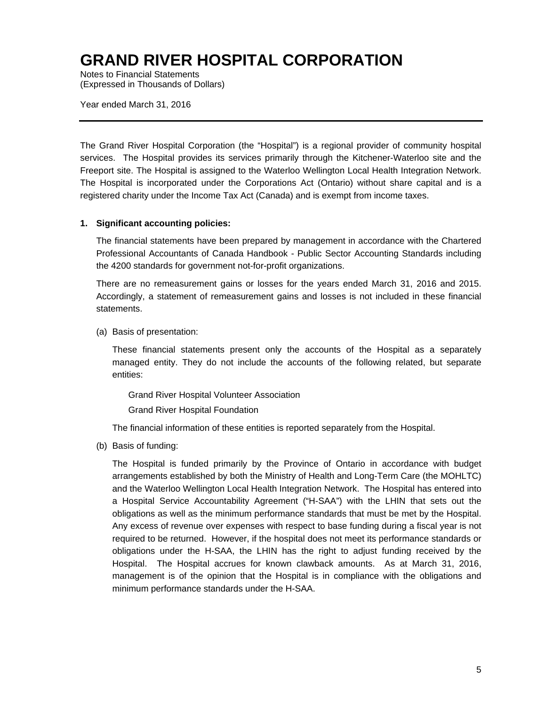Notes to Financial Statements (Expressed in Thousands of Dollars)

Year ended March 31, 2016

The Grand River Hospital Corporation (the "Hospital") is a regional provider of community hospital services. The Hospital provides its services primarily through the Kitchener-Waterloo site and the Freeport site. The Hospital is assigned to the Waterloo Wellington Local Health Integration Network. The Hospital is incorporated under the Corporations Act (Ontario) without share capital and is a registered charity under the Income Tax Act (Canada) and is exempt from income taxes.

#### **1. Significant accounting policies:**

The financial statements have been prepared by management in accordance with the Chartered Professional Accountants of Canada Handbook - Public Sector Accounting Standards including the 4200 standards for government not-for-profit organizations.

There are no remeasurement gains or losses for the years ended March 31, 2016 and 2015. Accordingly, a statement of remeasurement gains and losses is not included in these financial statements.

(a) Basis of presentation:

These financial statements present only the accounts of the Hospital as a separately managed entity. They do not include the accounts of the following related, but separate entities:

Grand River Hospital Volunteer Association

Grand River Hospital Foundation

The financial information of these entities is reported separately from the Hospital.

(b) Basis of funding:

The Hospital is funded primarily by the Province of Ontario in accordance with budget arrangements established by both the Ministry of Health and Long-Term Care (the MOHLTC) and the Waterloo Wellington Local Health Integration Network. The Hospital has entered into a Hospital Service Accountability Agreement ("H-SAA") with the LHIN that sets out the obligations as well as the minimum performance standards that must be met by the Hospital. Any excess of revenue over expenses with respect to base funding during a fiscal year is not required to be returned. However, if the hospital does not meet its performance standards or obligations under the H-SAA, the LHIN has the right to adjust funding received by the Hospital. The Hospital accrues for known clawback amounts. As at March 31, 2016, management is of the opinion that the Hospital is in compliance with the obligations and minimum performance standards under the H-SAA.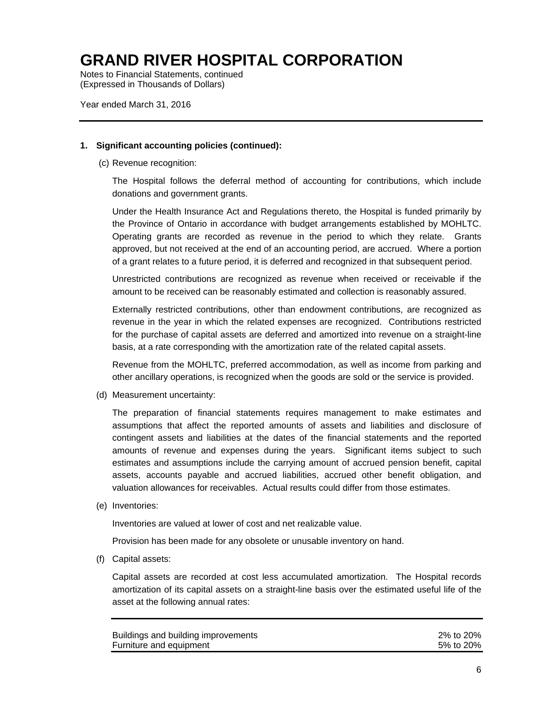Notes to Financial Statements, continued (Expressed in Thousands of Dollars)

Year ended March 31, 2016

#### **1. Significant accounting policies (continued):**

(c) Revenue recognition:

The Hospital follows the deferral method of accounting for contributions, which include donations and government grants.

Under the Health Insurance Act and Regulations thereto, the Hospital is funded primarily by the Province of Ontario in accordance with budget arrangements established by MOHLTC. Operating grants are recorded as revenue in the period to which they relate. Grants approved, but not received at the end of an accounting period, are accrued. Where a portion of a grant relates to a future period, it is deferred and recognized in that subsequent period.

Unrestricted contributions are recognized as revenue when received or receivable if the amount to be received can be reasonably estimated and collection is reasonably assured.

Externally restricted contributions, other than endowment contributions, are recognized as revenue in the year in which the related expenses are recognized. Contributions restricted for the purchase of capital assets are deferred and amortized into revenue on a straight-line basis, at a rate corresponding with the amortization rate of the related capital assets.

Revenue from the MOHLTC, preferred accommodation, as well as income from parking and other ancillary operations, is recognized when the goods are sold or the service is provided.

(d) Measurement uncertainty:

The preparation of financial statements requires management to make estimates and assumptions that affect the reported amounts of assets and liabilities and disclosure of contingent assets and liabilities at the dates of the financial statements and the reported amounts of revenue and expenses during the years. Significant items subject to such estimates and assumptions include the carrying amount of accrued pension benefit, capital assets, accounts payable and accrued liabilities, accrued other benefit obligation, and valuation allowances for receivables. Actual results could differ from those estimates.

(e) Inventories:

Inventories are valued at lower of cost and net realizable value.

Provision has been made for any obsolete or unusable inventory on hand.

(f) Capital assets:

Capital assets are recorded at cost less accumulated amortization. The Hospital records amortization of its capital assets on a straight-line basis over the estimated useful life of the asset at the following annual rates:

| Buildings and building improvements | 2% to 20% |
|-------------------------------------|-----------|
| Furniture and equipment             | 5% to 20% |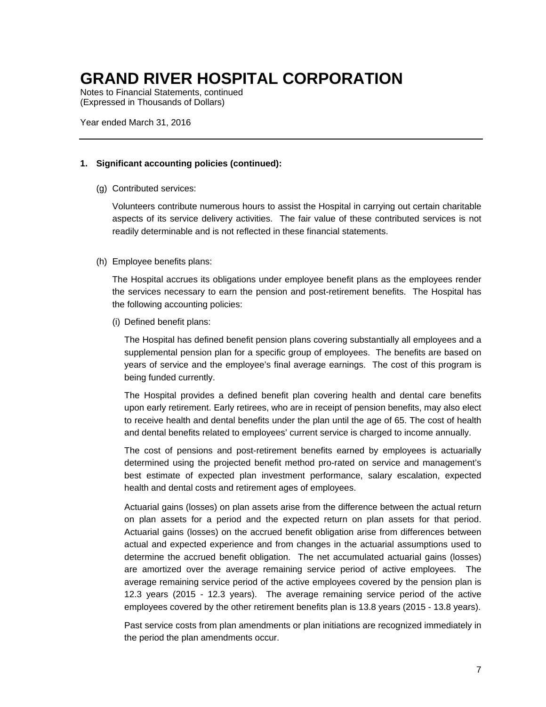Notes to Financial Statements, continued (Expressed in Thousands of Dollars)

Year ended March 31, 2016

#### **1. Significant accounting policies (continued):**

(g) Contributed services:

Volunteers contribute numerous hours to assist the Hospital in carrying out certain charitable aspects of its service delivery activities. The fair value of these contributed services is not readily determinable and is not reflected in these financial statements.

#### (h) Employee benefits plans:

The Hospital accrues its obligations under employee benefit plans as the employees render the services necessary to earn the pension and post-retirement benefits. The Hospital has the following accounting policies:

(i) Defined benefit plans:

The Hospital has defined benefit pension plans covering substantially all employees and a supplemental pension plan for a specific group of employees. The benefits are based on years of service and the employee's final average earnings. The cost of this program is being funded currently.

The Hospital provides a defined benefit plan covering health and dental care benefits upon early retirement. Early retirees, who are in receipt of pension benefits, may also elect to receive health and dental benefits under the plan until the age of 65. The cost of health and dental benefits related to employees' current service is charged to income annually.

The cost of pensions and post-retirement benefits earned by employees is actuarially determined using the projected benefit method pro-rated on service and management's best estimate of expected plan investment performance, salary escalation, expected health and dental costs and retirement ages of employees.

 Actuarial gains (losses) on plan assets arise from the difference between the actual return on plan assets for a period and the expected return on plan assets for that period. Actuarial gains (losses) on the accrued benefit obligation arise from differences between actual and expected experience and from changes in the actuarial assumptions used to determine the accrued benefit obligation. The net accumulated actuarial gains (losses) are amortized over the average remaining service period of active employees. The average remaining service period of the active employees covered by the pension plan is 12.3 years (2015 - 12.3 years). The average remaining service period of the active employees covered by the other retirement benefits plan is 13.8 years (2015 - 13.8 years).

Past service costs from plan amendments or plan initiations are recognized immediately in the period the plan amendments occur.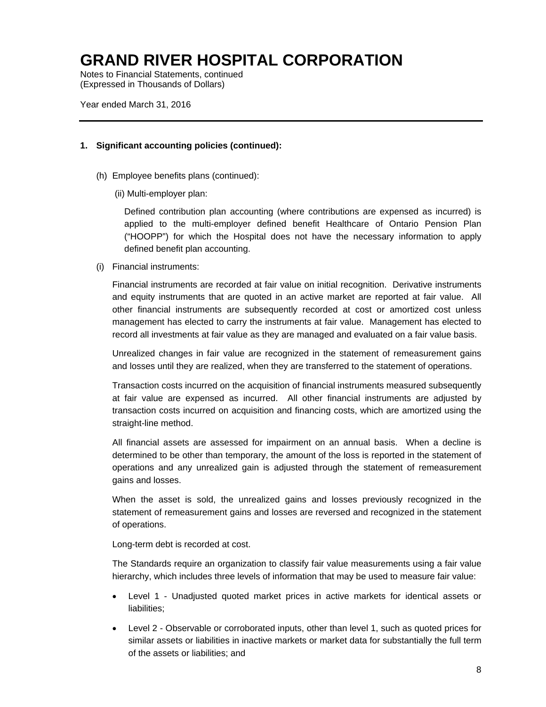Notes to Financial Statements, continued (Expressed in Thousands of Dollars)

Year ended March 31, 2016

#### **1. Significant accounting policies (continued):**

- (h) Employee benefits plans (continued):
	- (ii) Multi-employer plan:

Defined contribution plan accounting (where contributions are expensed as incurred) is applied to the multi-employer defined benefit Healthcare of Ontario Pension Plan ("HOOPP") for which the Hospital does not have the necessary information to apply defined benefit plan accounting.

(i) Financial instruments:

Financial instruments are recorded at fair value on initial recognition. Derivative instruments and equity instruments that are quoted in an active market are reported at fair value. All other financial instruments are subsequently recorded at cost or amortized cost unless management has elected to carry the instruments at fair value. Management has elected to record all investments at fair value as they are managed and evaluated on a fair value basis.

Unrealized changes in fair value are recognized in the statement of remeasurement gains and losses until they are realized, when they are transferred to the statement of operations.

Transaction costs incurred on the acquisition of financial instruments measured subsequently at fair value are expensed as incurred. All other financial instruments are adjusted by transaction costs incurred on acquisition and financing costs, which are amortized using the straight-line method.

All financial assets are assessed for impairment on an annual basis. When a decline is determined to be other than temporary, the amount of the loss is reported in the statement of operations and any unrealized gain is adjusted through the statement of remeasurement gains and losses.

When the asset is sold, the unrealized gains and losses previously recognized in the statement of remeasurement gains and losses are reversed and recognized in the statement of operations.

Long-term debt is recorded at cost.

The Standards require an organization to classify fair value measurements using a fair value hierarchy, which includes three levels of information that may be used to measure fair value:

- Level 1 Unadjusted quoted market prices in active markets for identical assets or liabilities:
- Level 2 Observable or corroborated inputs, other than level 1, such as quoted prices for similar assets or liabilities in inactive markets or market data for substantially the full term of the assets or liabilities; and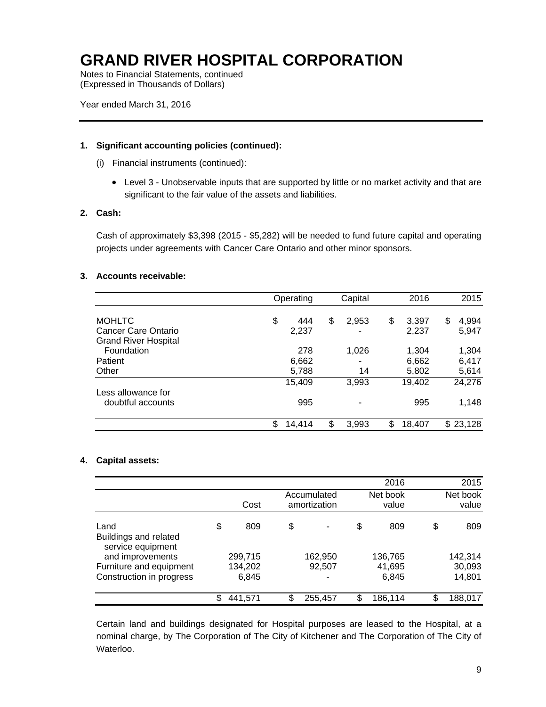Notes to Financial Statements, continued (Expressed in Thousands of Dollars)

Year ended March 31, 2016

#### **1. Significant accounting policies (continued):**

- (i) Financial instruments (continued):
	- Level 3 Unobservable inputs that are supported by little or no market activity and that are significant to the fair value of the assets and liabilities.

#### **2. Cash:**

Cash of approximately \$3,398 (2015 - \$5,282) will be needed to fund future capital and operating projects under agreements with Cancer Care Ontario and other minor sponsors.

#### **3. Accounts receivable:**

|                                         | Operating          | Capital          | 2016                 | 2015                 |
|-----------------------------------------|--------------------|------------------|----------------------|----------------------|
| <b>MOHLTC</b><br>Cancer Care Ontario    | \$<br>444<br>2,237 | \$<br>2,953<br>۰ | \$<br>3,397<br>2,237 | 4,994<br>\$<br>5,947 |
| <b>Grand River Hospital</b>             |                    |                  |                      |                      |
| Foundation<br>Patient                   | 278<br>6,662       | 1,026            | 1,304<br>6,662       | 1,304<br>6,417       |
| Other                                   | 5,788              | 14               | 5,802                | 5,614                |
|                                         | 15,409             | 3,993            | 19,402               | 24,276               |
| Less allowance for<br>doubtful accounts | 995                |                  | 995                  | 1,148                |
|                                         | \$<br>14,414       | \$<br>3,993      | \$<br>18,407         | \$23,128             |

#### **4. Capital assets:**

|                                                     |                  |                             |    | 2016              | 2015              |
|-----------------------------------------------------|------------------|-----------------------------|----|-------------------|-------------------|
|                                                     | Cost             | Accumulated<br>amortization |    | Net book<br>value | Net book<br>value |
| Land<br>Buildings and related<br>service equipment  | \$<br>809        | \$                          | \$ | 809               | \$<br>809         |
| and improvements                                    | 299,715          | 162,950                     |    | 136,765           | 142,314           |
| Furniture and equipment<br>Construction in progress | 134,202<br>6,845 | 92,507<br>-                 |    | 41,695<br>6,845   | 30,093<br>14,801  |
|                                                     | \$<br>441,571    | \$<br>255,457               | \$ | 186,114           | \$<br>188,017     |

Certain land and buildings designated for Hospital purposes are leased to the Hospital, at a nominal charge, by The Corporation of The City of Kitchener and The Corporation of The City of Waterloo.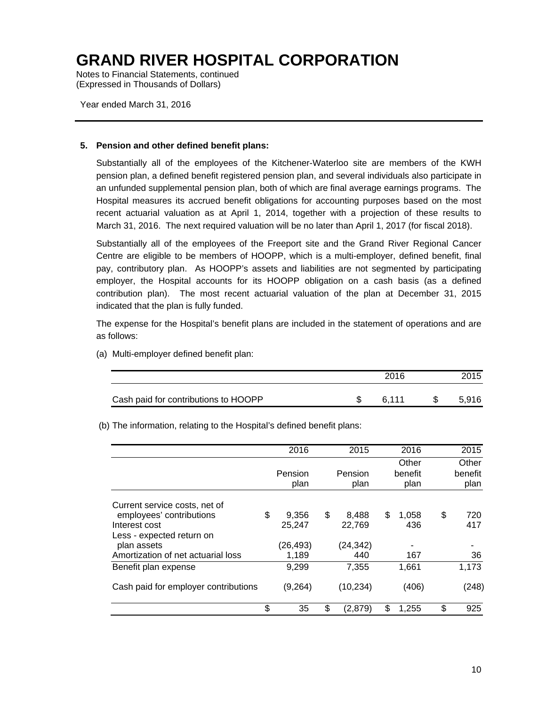Notes to Financial Statements, continued (Expressed in Thousands of Dollars)

Year ended March 31, 2016

#### **5. Pension and other defined benefit plans:**

Substantially all of the employees of the Kitchener-Waterloo site are members of the KWH pension plan, a defined benefit registered pension plan, and several individuals also participate in an unfunded supplemental pension plan, both of which are final average earnings programs. The Hospital measures its accrued benefit obligations for accounting purposes based on the most recent actuarial valuation as at April 1, 2014, together with a projection of these results to March 31, 2016. The next required valuation will be no later than April 1, 2017 (for fiscal 2018).

Substantially all of the employees of the Freeport site and the Grand River Regional Cancer Centre are eligible to be members of HOOPP, which is a multi-employer, defined benefit, final pay, contributory plan. As HOOPP's assets and liabilities are not segmented by participating employer, the Hospital accounts for its HOOPP obligation on a cash basis (as a defined contribution plan). The most recent actuarial valuation of the plan at December 31, 2015 indicated that the plan is fully funded.

The expense for the Hospital's benefit plans are included in the statement of operations and are as follows:

|                                      | 2016   | 2015  |
|--------------------------------------|--------|-------|
| Cash paid for contributions to HOOPP | .6 111 | 5,916 |

(a) Multi-employer defined benefit plan:

(b) The information, relating to the Hospital's defined benefit plans:

|                                      | 2016        | 2015          | 2016        | 2015      |
|--------------------------------------|-------------|---------------|-------------|-----------|
|                                      |             |               | Other       | Other     |
|                                      | Pension     | Pension       | benefit     | benefit   |
|                                      | plan        | plan          | plan        | plan      |
| Current service costs, net of        |             |               |             |           |
| employees' contributions             | \$<br>9.356 | \$<br>8.488   | \$<br>1.058 | \$<br>720 |
| Interest cost                        | 25,247      | 22.769        | 436         | 417       |
| Less - expected return on            |             |               |             |           |
| plan assets                          | (26, 493)   | (24, 342)     | ۰           |           |
| Amortization of net actuarial loss   | 1,189       | 440           | 167         | 36        |
| Benefit plan expense                 | 9,299       | 7,355         | 1,661       | 1,173     |
| Cash paid for employer contributions | (9, 264)    | (10,234)      | (406)       | (248)     |
|                                      | \$<br>35    | \$<br>(2,879) | \$<br>1,255 | \$<br>925 |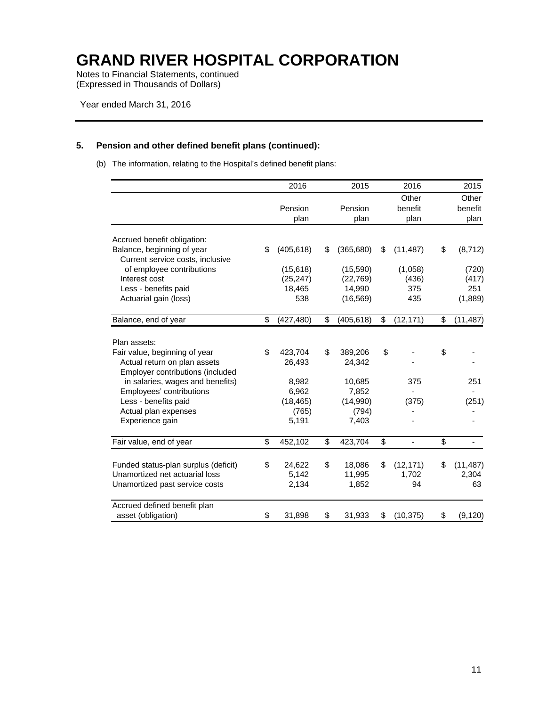Notes to Financial Statements, continued (Expressed in Thousands of Dollars)

#### **5. Pension and other defined benefit plans (continued):**

(b) The information, relating to the Hospital's defined benefit plans:

|                                               | 2016             | 2015             | 2016                           | 2015            |
|-----------------------------------------------|------------------|------------------|--------------------------------|-----------------|
|                                               |                  |                  | Other                          | Other           |
|                                               | Pension          | Pension          | benefit                        | benefit         |
|                                               | plan             | plan             | plan                           | plan            |
| Accrued benefit obligation:                   |                  |                  |                                |                 |
| Balance, beginning of year                    | \$<br>(405, 618) | \$<br>(365, 680) | \$<br>(11, 487)                | \$<br>(8, 712)  |
| Current service costs, inclusive              |                  |                  |                                |                 |
| of employee contributions                     | (15, 618)        | (15, 590)        | (1,058)                        | (720)           |
| Interest cost                                 | (25, 247)        | (22, 769)        | (436)                          | (417)           |
| Less - benefits paid                          | 18,465           | 14,990           | 375                            | 251             |
| Actuarial gain (loss)                         | 538              | (16, 569)        | 435                            | (1,889)         |
| Balance, end of year                          | \$<br>(427, 480) | \$<br>(405, 618) | \$<br>(12, 171)                | \$<br>(11, 487) |
|                                               |                  |                  |                                |                 |
| Plan assets:<br>Fair value, beginning of year | \$<br>423,704    | \$<br>389,206    | \$                             | \$              |
| Actual return on plan assets                  | 26,493           | 24,342           |                                |                 |
| Employer contributions (included              |                  |                  |                                |                 |
| in salaries, wages and benefits)              | 8,982            | 10,685           | 375                            | 251             |
| Employees' contributions                      | 6,962            | 7,852            |                                |                 |
| Less - benefits paid                          | (18, 465)        | (14,990)         | (375)                          | (251)           |
| Actual plan expenses                          | (765)            | (794)            |                                |                 |
| Experience gain                               | 5,191            | 7,403            |                                |                 |
| Fair value, end of year                       | \$<br>452,102    | \$<br>423,704    | \$<br>$\overline{\phantom{a}}$ | \$              |
| Funded status-plan surplus (deficit)          | \$<br>24,622     | \$<br>18,086     | \$<br>(12, 171)                | \$<br>(11, 487) |
| Unamortized net actuarial loss                | 5,142            | 11,995           | 1,702                          | 2,304           |
| Unamortized past service costs                | 2,134            | 1,852            | 94                             | 63              |
| Accrued defined benefit plan                  |                  |                  |                                |                 |
| asset (obligation)                            | \$<br>31,898     | \$<br>31,933     | \$<br>(10, 375)                | \$<br>(9, 120)  |
|                                               |                  |                  |                                |                 |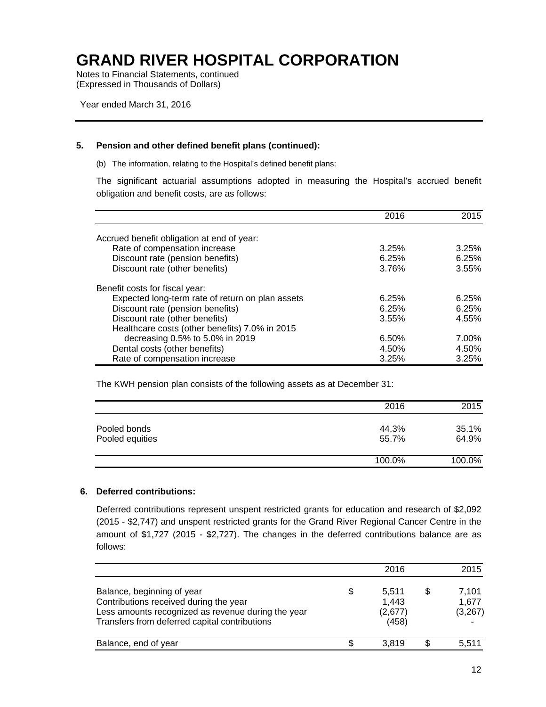Notes to Financial Statements, continued (Expressed in Thousands of Dollars)

Year ended March 31, 2016

#### **5. Pension and other defined benefit plans (continued):**

(b) The information, relating to the Hospital's defined benefit plans:

The significant actuarial assumptions adopted in measuring the Hospital's accrued benefit obligation and benefit costs, are as follows:

|                                                  | 2016  | 2015  |
|--------------------------------------------------|-------|-------|
| Accrued benefit obligation at end of year:       |       |       |
| Rate of compensation increase                    | 3.25% | 3.25% |
| Discount rate (pension benefits)                 | 6.25% | 6.25% |
| Discount rate (other benefits)                   | 3.76% | 3.55% |
| Benefit costs for fiscal year:                   |       |       |
| Expected long-term rate of return on plan assets | 6.25% | 6.25% |
| Discount rate (pension benefits)                 | 6.25% | 6.25% |
| Discount rate (other benefits)                   | 3.55% | 4.55% |
| Healthcare costs (other benefits) 7.0% in 2015   |       |       |
| decreasing 0.5% to 5.0% in 2019                  | 6.50% | 7.00% |
| Dental costs (other benefits)                    | 4.50% | 4.50% |
| Rate of compensation increase                    | 3.25% | 3.25% |

The KWH pension plan consists of the following assets as at December 31:

|                                 | 2016           | 2015           |
|---------------------------------|----------------|----------------|
| Pooled bonds<br>Pooled equities | 44.3%<br>55.7% | 35.1%<br>64.9% |
|                                 | 100.0%         | 100.0%         |

#### **6. Deferred contributions:**

Deferred contributions represent unspent restricted grants for education and research of \$2,092 (2015 - \$2,747) and unspent restricted grants for the Grand River Regional Cancer Centre in the amount of \$1,727 (2015 - \$2,727). The changes in the deferred contributions balance are as follows:

|                                                                                                                                                                             |   | 2016                               |   | 2015                       |
|-----------------------------------------------------------------------------------------------------------------------------------------------------------------------------|---|------------------------------------|---|----------------------------|
| Balance, beginning of year<br>Contributions received during the year<br>Less amounts recognized as revenue during the year<br>Transfers from deferred capital contributions | S | 5,511<br>1,443<br>(2,677)<br>(458) | S | 7,101<br>1.677<br>(3, 267) |
| Balance, end of year                                                                                                                                                        |   | 3.819                              |   | 5.511                      |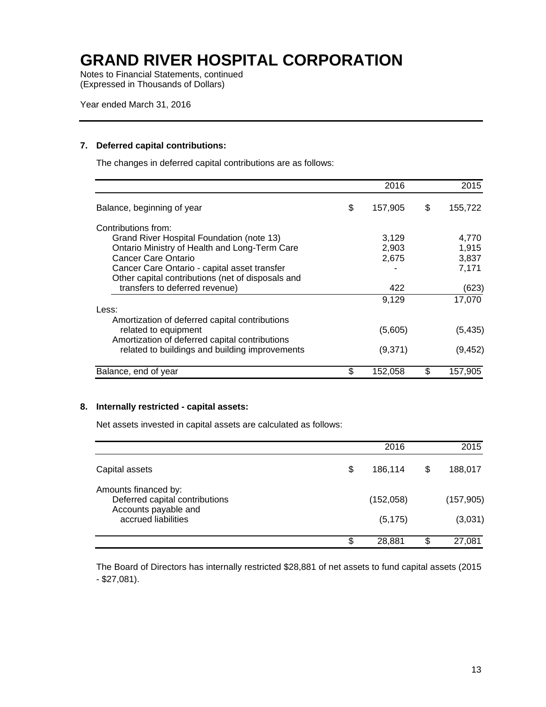Notes to Financial Statements, continued (Expressed in Thousands of Dollars)

#### **7. Deferred capital contributions:**

The changes in deferred capital contributions are as follows:

|                                                   | 2016          | 2015          |
|---------------------------------------------------|---------------|---------------|
| Balance, beginning of year                        | \$<br>157,905 | \$<br>155,722 |
| Contributions from:                               |               |               |
| Grand River Hospital Foundation (note 13)         | 3,129         | 4,770         |
| Ontario Ministry of Health and Long-Term Care     | 2,903         | 1,915         |
| Cancer Care Ontario                               | 2,675         | 3,837         |
| Cancer Care Ontario - capital asset transfer      |               | 7,171         |
| Other capital contributions (net of disposals and |               |               |
| transfers to deferred revenue)                    | 422           | (623)         |
|                                                   | 9,129         | 17,070        |
| Less:                                             |               |               |
| Amortization of deferred capital contributions    |               |               |
| related to equipment                              | (5,605)       | (5, 435)      |
| Amortization of deferred capital contributions    |               |               |
| related to buildings and building improvements    | (9,371)       | (9, 452)      |
| Balance, end of year                              | \$<br>152,058 | \$<br>157,905 |

#### **8. Internally restricted - capital assets:**

Net assets invested in capital assets are calculated as follows:

|                                                                                                       | 2016          | 2015          |
|-------------------------------------------------------------------------------------------------------|---------------|---------------|
| Capital assets                                                                                        | \$<br>186,114 | \$<br>188,017 |
| Amounts financed by:<br>Deferred capital contributions<br>Accounts payable and<br>accrued liabilities | (152,058)     | (157, 905)    |
|                                                                                                       | (5, 175)      | (3,031)       |
|                                                                                                       | \$<br>28,881  | \$<br>27,081  |

The Board of Directors has internally restricted \$28,881 of net assets to fund capital assets (2015 - \$27,081).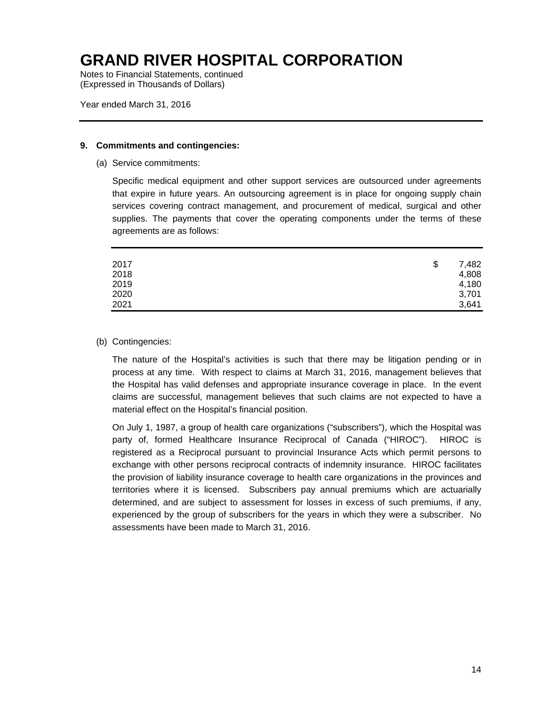Notes to Financial Statements, continued (Expressed in Thousands of Dollars)

Year ended March 31, 2016

#### **9. Commitments and contingencies:**

(a) Service commitments:

Specific medical equipment and other support services are outsourced under agreements that expire in future years. An outsourcing agreement is in place for ongoing supply chain services covering contract management, and procurement of medical, surgical and other supplies. The payments that cover the operating components under the terms of these agreements are as follows:

| 2017         | \$<br>7,482    |
|--------------|----------------|
| 2018<br>2019 | 4,808<br>4,180 |
| 2020         | 3,701          |
| 2021         | 3,641          |

#### (b) Contingencies:

The nature of the Hospital's activities is such that there may be litigation pending or in process at any time. With respect to claims at March 31, 2016, management believes that the Hospital has valid defenses and appropriate insurance coverage in place. In the event claims are successful, management believes that such claims are not expected to have a material effect on the Hospital's financial position.

On July 1, 1987, a group of health care organizations ("subscribers"), which the Hospital was party of, formed Healthcare Insurance Reciprocal of Canada ("HIROC"). HIROC is registered as a Reciprocal pursuant to provincial Insurance Acts which permit persons to exchange with other persons reciprocal contracts of indemnity insurance. HIROC facilitates the provision of liability insurance coverage to health care organizations in the provinces and territories where it is licensed. Subscribers pay annual premiums which are actuarially determined, and are subject to assessment for losses in excess of such premiums, if any, experienced by the group of subscribers for the years in which they were a subscriber. No assessments have been made to March 31, 2016.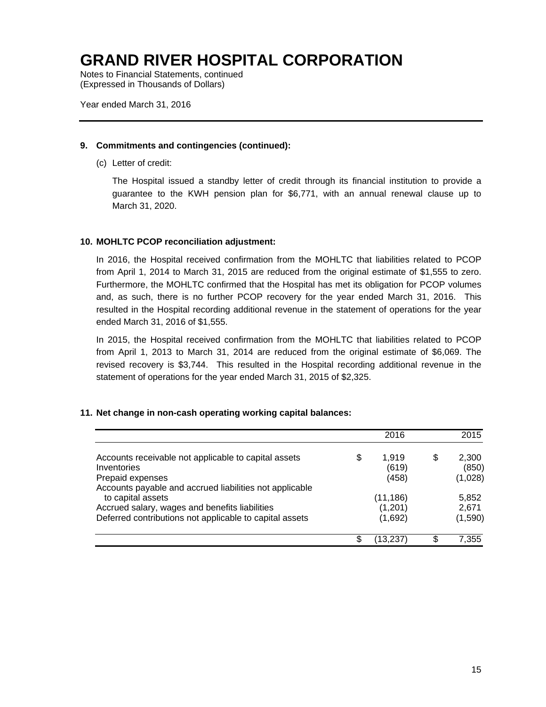Notes to Financial Statements, continued (Expressed in Thousands of Dollars)

Year ended March 31, 2016

#### **9. Commitments and contingencies (continued):**

(c) Letter of credit:

The Hospital issued a standby letter of credit through its financial institution to provide a guarantee to the KWH pension plan for \$6,771, with an annual renewal clause up to March 31, 2020.

#### **10. MOHLTC PCOP reconciliation adjustment:**

In 2016, the Hospital received confirmation from the MOHLTC that liabilities related to PCOP from April 1, 2014 to March 31, 2015 are reduced from the original estimate of \$1,555 to zero. Furthermore, the MOHLTC confirmed that the Hospital has met its obligation for PCOP volumes and, as such, there is no further PCOP recovery for the year ended March 31, 2016. This resulted in the Hospital recording additional revenue in the statement of operations for the year ended March 31, 2016 of \$1,555.

In 2015, the Hospital received confirmation from the MOHLTC that liabilities related to PCOP from April 1, 2013 to March 31, 2014 are reduced from the original estimate of \$6,069. The revised recovery is \$3,744. This resulted in the Hospital recording additional revenue in the statement of operations for the year ended March 31, 2015 of \$2,325.

#### **11. Net change in non-cash operating working capital balances:**

|                                                                             |    | 2016      |   | 2015    |
|-----------------------------------------------------------------------------|----|-----------|---|---------|
| Accounts receivable not applicable to capital assets                        | \$ | 1.919     | S | 2,300   |
| Inventories                                                                 |    | (619)     |   | (850)   |
| Prepaid expenses<br>Accounts payable and accrued liabilities not applicable |    | (458)     |   | (1,028) |
| to capital assets                                                           |    | (11, 186) |   | 5,852   |
| Accrued salary, wages and benefits liabilities                              |    | (1,201)   |   | 2,671   |
| Deferred contributions not applicable to capital assets                     |    | (1,692)   |   | (1,590) |
|                                                                             | S  | 13.237    |   | 7,355   |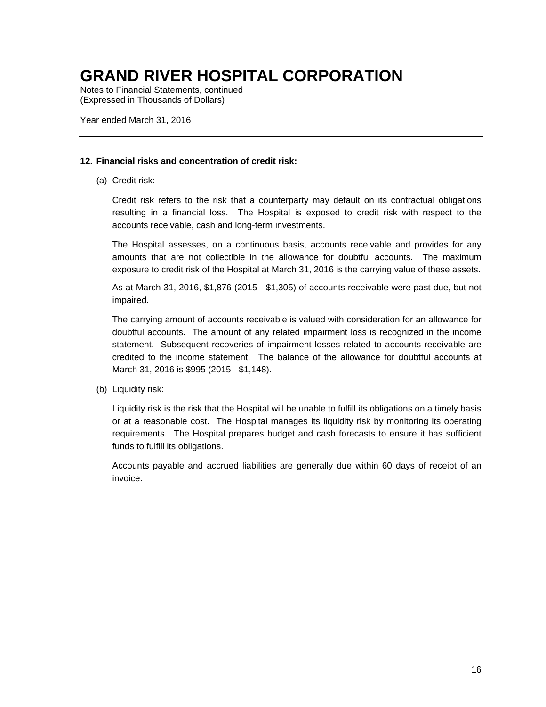Notes to Financial Statements, continued (Expressed in Thousands of Dollars)

Year ended March 31, 2016

#### **12. Financial risks and concentration of credit risk:**

(a) Credit risk:

 Credit risk refers to the risk that a counterparty may default on its contractual obligations resulting in a financial loss. The Hospital is exposed to credit risk with respect to the accounts receivable, cash and long-term investments.

 The Hospital assesses, on a continuous basis, accounts receivable and provides for any amounts that are not collectible in the allowance for doubtful accounts. The maximum exposure to credit risk of the Hospital at March 31, 2016 is the carrying value of these assets.

As at March 31, 2016, \$1,876 (2015 - \$1,305) of accounts receivable were past due, but not impaired.

 The carrying amount of accounts receivable is valued with consideration for an allowance for doubtful accounts. The amount of any related impairment loss is recognized in the income statement. Subsequent recoveries of impairment losses related to accounts receivable are credited to the income statement. The balance of the allowance for doubtful accounts at March 31, 2016 is \$995 (2015 - \$1,148).

(b) Liquidity risk:

 Liquidity risk is the risk that the Hospital will be unable to fulfill its obligations on a timely basis or at a reasonable cost. The Hospital manages its liquidity risk by monitoring its operating requirements. The Hospital prepares budget and cash forecasts to ensure it has sufficient funds to fulfill its obligations.

Accounts payable and accrued liabilities are generally due within 60 days of receipt of an invoice.